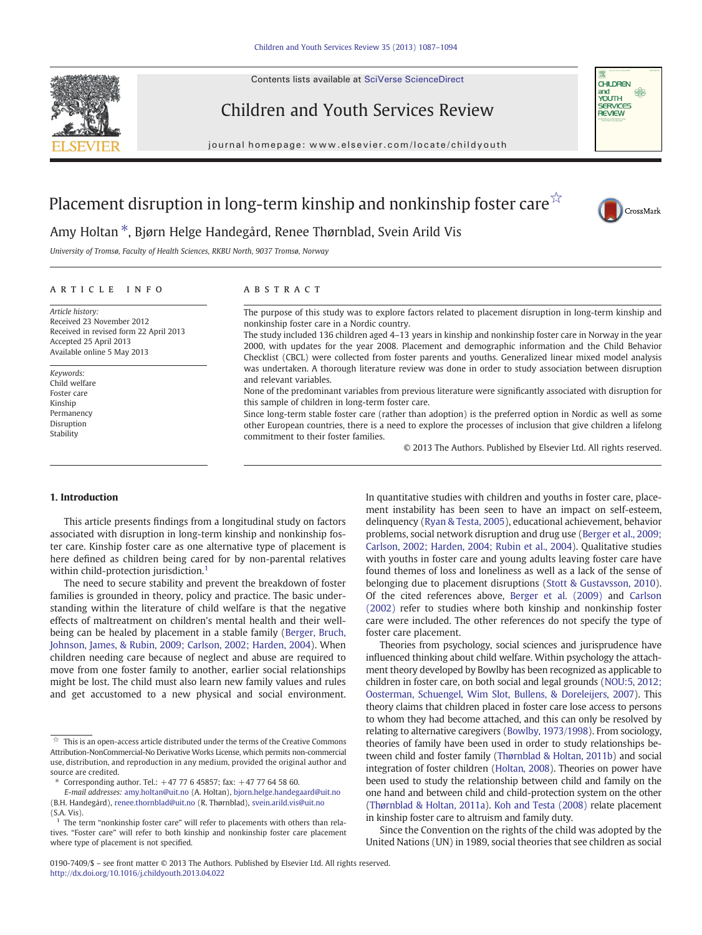Contents lists available at [SciVerse ScienceDirect](http://www.sciencedirect.com/science/journal/01907409)





journal homepage: www.elsevier.com/locate/childyouth

# Placement disruption in long-term kinship and nonkinship foster care $\sqrt{x}$



**CHILDREN** 

and<br>YOUTH SERVICES **REVIEW** 

 $\frac{1}{2}$ 

## Amy Holtan ⁎, Bjørn Helge Handegård, Renee Thørnblad, Svein Arild Vis

University of Tromsø, Faculty of Health Sciences, RKBU North, 9037 Tromsø, Norway

#### article info abstract

Article history: Received 23 November 2012 Received in revised form 22 April 2013 Accepted 25 April 2013 Available online 5 May 2013

Keywords: Child welfare Foster care Kinship Permanency Disruption Stability

The purpose of this study was to explore factors related to placement disruption in long-term kinship and nonkinship foster care in a Nordic country.

The study included 136 children aged 4–13 years in kinship and nonkinship foster care in Norway in the year 2000, with updates for the year 2008. Placement and demographic information and the Child Behavior Checklist (CBCL) were collected from foster parents and youths. Generalized linear mixed model analysis was undertaken. A thorough literature review was done in order to study association between disruption and relevant variables.

None of the predominant variables from previous literature were significantly associated with disruption for this sample of children in long-term foster care.

Since long-term stable foster care (rather than adoption) is the preferred option in Nordic as well as some other European countries, there is a need to explore the processes of inclusion that give children a lifelong commitment to their foster families.

© 2013 The Authors. Published by Elsevier Ltd. All rights reserved.

#### 1. Introduction

This article presents findings from a longitudinal study on factors associated with disruption in long-term kinship and nonkinship foster care. Kinship foster care as one alternative type of placement is here defined as children being cared for by non-parental relatives within child-protection jurisdiction.<sup>1</sup>

The need to secure stability and prevent the breakdown of foster families is grounded in theory, policy and practice. The basic understanding within the literature of child welfare is that the negative effects of maltreatment on children's mental health and their wellbeing can be healed by placement in a stable family [\(Berger, Bruch,](#page-6-0) [Johnson, James, & Rubin, 2009; Carlson, 2002; Harden, 2004\)](#page-6-0). When children needing care because of neglect and abuse are required to move from one foster family to another, earlier social relationships might be lost. The child must also learn new family values and rules and get accustomed to a new physical and social environment.

0190-7409/\$ – see front matter © 2013 The Authors. Published by Elsevier Ltd. All rights reserved. <http://dx.doi.org/10.1016/j.childyouth.2013.04.022>

In quantitative studies with children and youths in foster care, placement instability has been seen to have an impact on self-esteem, delinquency [\(Ryan & Testa, 2005](#page-7-0)), educational achievement, behavior problems, social network disruption and drug use [\(Berger et al., 2009;](#page-6-0) [Carlson, 2002; Harden, 2004; Rubin et al., 2004](#page-6-0)). Qualitative studies with youths in foster care and young adults leaving foster care have found themes of loss and loneliness as well as a lack of the sense of belonging due to placement disruptions ([Stott & Gustavsson, 2010](#page-7-0)). Of the cited references above, [Berger et al. \(2009\)](#page-6-0) and [Carlson](#page-6-0) [\(2002\)](#page-6-0) refer to studies where both kinship and nonkinship foster care were included. The other references do not specify the type of foster care placement.

Theories from psychology, social sciences and jurisprudence have influenced thinking about child welfare. Within psychology the attachment theory developed by Bowlby has been recognized as applicable to children in foster care, on both social and legal grounds [\(NOU:5, 2012;](#page-6-0) [Oosterman, Schuengel, Wim Slot, Bullens, & Doreleijers, 2007](#page-6-0)). This theory claims that children placed in foster care lose access to persons to whom they had become attached, and this can only be resolved by relating to alternative caregivers [\(Bowlby, 1973/1998](#page-6-0)). From sociology, theories of family have been used in order to study relationships between child and foster family [\(Thørnblad & Holtan, 2011b\)](#page-7-0) and social integration of foster children [\(Holtan, 2008](#page-6-0)). Theories on power have been used to study the relationship between child and family on the one hand and between child and child-protection system on the other [\(Thørnblad & Holtan, 2011a\)](#page-7-0). [Koh and Testa \(2008\)](#page-6-0) relate placement in kinship foster care to altruism and family duty.

Since the Convention on the rights of the child was adopted by the United Nations (UN) in 1989, social theories that see children as social

This is an open-access article distributed under the terms of the Creative Commons Attribution-NonCommercial-No Derivative Works License, which permits non-commercial use, distribution, and reproduction in any medium, provided the original author and source are credited.

Corresponding author. Tel.:  $+47$  77 6 45857; fax:  $+47$  77 64 58 60.

E-mail addresses: [amy.holtan@uit.no](mailto:amy.holtan@uit.no) (A. Holtan), [bjorn.helge.handegaard@uit.no](mailto:bjorn.helge.handegaard@uit.no) (B.H. Handegård), [renee.thornblad@uit.no](mailto:renee.thornblad@uit.no) (R. Thørnblad), [svein.arild.vis@uit.no](mailto:svein.arild.vis@uit.no) (S.A. Vis).

The term "nonkinship foster care" will refer to placements with others than relatives. "Foster care" will refer to both kinship and nonkinship foster care placement where type of placement is not specified.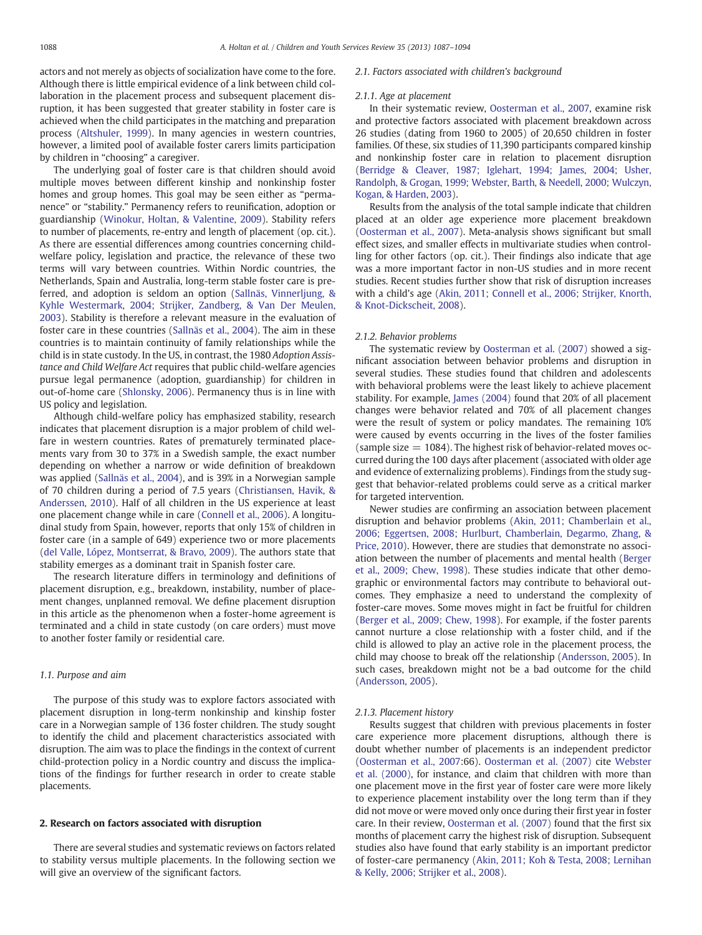actors and not merely as objects of socialization have come to the fore. Although there is little empirical evidence of a link between child collaboration in the placement process and subsequent placement disruption, it has been suggested that greater stability in foster care is achieved when the child participates in the matching and preparation process [\(Altshuler, 1999](#page-6-0)). In many agencies in western countries, however, a limited pool of available foster carers limits participation by children in "choosing" a caregiver.

The underlying goal of foster care is that children should avoid multiple moves between different kinship and nonkinship foster homes and group homes. This goal may be seen either as "permanence" or "stability." Permanency refers to reunification, adoption or guardianship [\(Winokur, Holtan, & Valentine, 2009](#page-7-0)). Stability refers to number of placements, re-entry and length of placement (op. cit.). As there are essential differences among countries concerning childwelfare policy, legislation and practice, the relevance of these two terms will vary between countries. Within Nordic countries, the Netherlands, Spain and Australia, long-term stable foster care is preferred, and adoption is seldom an option ([Sallnäs, Vinnerljung, &](#page-7-0) [Kyhle Westermark, 2004; Strijker, Zandberg, & Van Der Meulen,](#page-7-0) [2003\)](#page-7-0). Stability is therefore a relevant measure in the evaluation of foster care in these countries ([Sallnäs et al., 2004](#page-7-0)). The aim in these countries is to maintain continuity of family relationships while the child is in state custody. In the US, in contrast, the 1980 Adoption Assistance and Child Welfare Act requires that public child-welfare agencies pursue legal permanence (adoption, guardianship) for children in out-of-home care [\(Shlonsky, 2006](#page-7-0)). Permanency thus is in line with US policy and legislation.

Although child-welfare policy has emphasized stability, research indicates that placement disruption is a major problem of child welfare in western countries. Rates of prematurely terminated placements vary from 30 to 37% in a Swedish sample, the exact number depending on whether a narrow or wide definition of breakdown was applied ([Sallnäs et al., 2004\)](#page-7-0), and is 39% in a Norwegian sample of 70 children during a period of 7.5 years ([Christiansen, Havik, &](#page-6-0) [Anderssen, 2010\)](#page-6-0). Half of all children in the US experience at least one placement change while in care ([Connell et al., 2006\)](#page-6-0). A longitudinal study from Spain, however, reports that only 15% of children in foster care (in a sample of 649) experience two or more placements [\(del Valle, López, Montserrat, & Bravo, 2009\)](#page-6-0). The authors state that stability emerges as a dominant trait in Spanish foster care.

The research literature differs in terminology and definitions of placement disruption, e.g., breakdown, instability, number of placement changes, unplanned removal. We define placement disruption in this article as the phenomenon when a foster-home agreement is terminated and a child in state custody (on care orders) must move to another foster family or residential care.

#### 1.1. Purpose and aim

The purpose of this study was to explore factors associated with placement disruption in long-term nonkinship and kinship foster care in a Norwegian sample of 136 foster children. The study sought to identify the child and placement characteristics associated with disruption. The aim was to place the findings in the context of current child-protection policy in a Nordic country and discuss the implications of the findings for further research in order to create stable placements.

#### 2. Research on factors associated with disruption

There are several studies and systematic reviews on factors related to stability versus multiple placements. In the following section we will give an overview of the significant factors.

#### 2.1. Factors associated with children's background

#### 2.1.1. Age at placement

In their systematic review, [Oosterman et al., 2007](#page-6-0), examine risk and protective factors associated with placement breakdown across 26 studies (dating from 1960 to 2005) of 20,650 children in foster families. Of these, six studies of 11,390 participants compared kinship and nonkinship foster care in relation to placement disruption [\(Berridge & Cleaver, 1987; Iglehart, 1994; James, 2004; Usher,](#page-6-0) [Randolph, & Grogan, 1999; Webster, Barth, & Needell, 2000; Wulczyn,](#page-6-0) [Kogan, & Harden, 2003](#page-6-0)).

Results from the analysis of the total sample indicate that children placed at an older age experience more placement breakdown [\(Oosterman et al., 2007\)](#page-6-0). Meta-analysis shows significant but small effect sizes, and smaller effects in multivariate studies when controlling for other factors (op. cit.). Their findings also indicate that age was a more important factor in non-US studies and in more recent studies. Recent studies further show that risk of disruption increases with a child's age ([Akin, 2011; Connell et al., 2006; Strijker, Knorth,](#page-6-0) [& Knot-Dickscheit, 2008\)](#page-6-0).

#### 2.1.2. Behavior problems

The systematic review by [Oosterman et al. \(2007\)](#page-6-0) showed a significant association between behavior problems and disruption in several studies. These studies found that children and adolescents with behavioral problems were the least likely to achieve placement stability. For example, [James \(2004\)](#page-6-0) found that 20% of all placement changes were behavior related and 70% of all placement changes were the result of system or policy mandates. The remaining 10% were caused by events occurring in the lives of the foster families (sample size  $= 1084$ ). The highest risk of behavior-related moves occurred during the 100 days after placement (associated with older age and evidence of externalizing problems). Findings from the study suggest that behavior-related problems could serve as a critical marker for targeted intervention.

Newer studies are confirming an association between placement disruption and behavior problems [\(Akin, 2011; Chamberlain et al.,](#page-6-0) [2006; Eggertsen, 2008; Hurlburt, Chamberlain, Degarmo, Zhang, &](#page-6-0) [Price, 2010](#page-6-0)). However, there are studies that demonstrate no association between the number of placements and mental health ([Berger](#page-6-0) [et al., 2009; Chew, 1998\)](#page-6-0). These studies indicate that other demographic or environmental factors may contribute to behavioral outcomes. They emphasize a need to understand the complexity of foster-care moves. Some moves might in fact be fruitful for children [\(Berger et al., 2009; Chew, 1998](#page-6-0)). For example, if the foster parents cannot nurture a close relationship with a foster child, and if the child is allowed to play an active role in the placement process, the child may choose to break off the relationship ([Andersson, 2005\)](#page-6-0). In such cases, breakdown might not be a bad outcome for the child [\(Andersson, 2005](#page-6-0)).

#### 2.1.3. Placement history

Results suggest that children with previous placements in foster care experience more placement disruptions, although there is doubt whether number of placements is an independent predictor [\(Oosterman et al., 2007:](#page-6-0)66). [Oosterman et al. \(2007\)](#page-6-0) cite [Webster](#page-7-0) [et al. \(2000\),](#page-7-0) for instance, and claim that children with more than one placement move in the first year of foster care were more likely to experience placement instability over the long term than if they did not move or were moved only once during their first year in foster care. In their review, [Oosterman et al. \(2007\)](#page-6-0) found that the first six months of placement carry the highest risk of disruption. Subsequent studies also have found that early stability is an important predictor of foster-care permanency [\(Akin, 2011; Koh & Testa, 2008; Lernihan](#page-6-0) [& Kelly, 2006; Strijker et al., 2008\)](#page-6-0).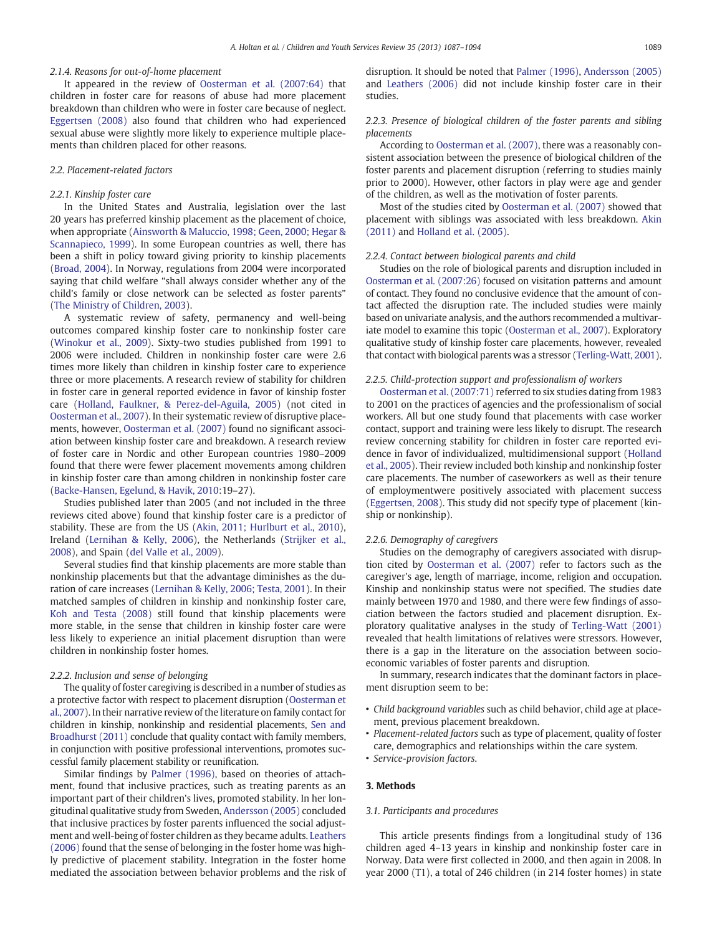### 2.1.4. Reasons for out-of-home placement

It appeared in the review of [Oosterman et al. \(2007:64\)](#page-6-0) that children in foster care for reasons of abuse had more placement breakdown than children who were in foster care because of neglect. [Eggertsen \(2008\)](#page-6-0) also found that children who had experienced sexual abuse were slightly more likely to experience multiple placements than children placed for other reasons.

#### 2.2. Placement-related factors

#### 2.2.1. Kinship foster care

In the United States and Australia, legislation over the last 20 years has preferred kinship placement as the placement of choice, when appropriate ([Ainsworth & Maluccio, 1998; Geen, 2000; Hegar &](#page-6-0) [Scannapieco, 1999\)](#page-6-0). In some European countries as well, there has been a shift in policy toward giving priority to kinship placements [\(Broad, 2004](#page-6-0)). In Norway, regulations from 2004 were incorporated saying that child welfare "shall always consider whether any of the child's family or close network can be selected as foster parents" [\(The Ministry of Children, 2003\)](#page-7-0).

A systematic review of safety, permanency and well-being outcomes compared kinship foster care to nonkinship foster care [\(Winokur et al., 2009](#page-7-0)). Sixty-two studies published from 1991 to 2006 were included. Children in nonkinship foster care were 2.6 times more likely than children in kinship foster care to experience three or more placements. A research review of stability for children in foster care in general reported evidence in favor of kinship foster care [\(Holland, Faulkner, & Perez-del-Aguila, 2005\)](#page-6-0) (not cited in [Oosterman et al., 2007\)](#page-6-0). In their systematic review of disruptive placements, however, [Oosterman et al. \(2007\)](#page-6-0) found no significant association between kinship foster care and breakdown. A research review of foster care in Nordic and other European countries 1980–2009 found that there were fewer placement movements among children in kinship foster care than among children in nonkinship foster care [\(Backe-Hansen, Egelund, & Havik, 2010:](#page-6-0)19–27).

Studies published later than 2005 (and not included in the three reviews cited above) found that kinship foster care is a predictor of stability. These are from the US ([Akin, 2011; Hurlburt et al., 2010](#page-6-0)), Ireland ([Lernihan & Kelly, 2006](#page-6-0)), the Netherlands ([Strijker et al.,](#page-7-0) [2008\)](#page-7-0), and Spain [\(del Valle et al., 2009](#page-6-0)).

Several studies find that kinship placements are more stable than nonkinship placements but that the advantage diminishes as the duration of care increases ([Lernihan & Kelly, 2006; Testa, 2001\)](#page-6-0). In their matched samples of children in kinship and nonkinship foster care, [Koh and Testa \(2008\)](#page-6-0) still found that kinship placements were more stable, in the sense that children in kinship foster care were less likely to experience an initial placement disruption than were children in nonkinship foster homes.

#### 2.2.2. Inclusion and sense of belonging

The quality of foster caregiving is described in a number of studies as a protective factor with respect to placement disruption [\(Oosterman et](#page-6-0) [al., 2007\)](#page-6-0). In their narrative review of the literature on family contact for children in kinship, nonkinship and residential placements, [Sen and](#page-7-0) [Broadhurst \(2011\)](#page-7-0) conclude that quality contact with family members, in conjunction with positive professional interventions, promotes successful family placement stability or reunification.

Similar findings by [Palmer \(1996\)](#page-6-0), based on theories of attachment, found that inclusive practices, such as treating parents as an important part of their children's lives, promoted stability. In her longitudinal qualitative study from Sweden, [Andersson \(2005\)](#page-6-0) concluded that inclusive practices by foster parents influenced the social adjustment and well-being of foster children as they became adults. [Leathers](#page-6-0) [\(2006\)](#page-6-0) found that the sense of belonging in the foster home was highly predictive of placement stability. Integration in the foster home mediated the association between behavior problems and the risk of disruption. It should be noted that [Palmer \(1996\)](#page-6-0), [Andersson \(2005\)](#page-6-0) and [Leathers \(2006\)](#page-6-0) did not include kinship foster care in their studies.

#### 2.2.3. Presence of biological children of the foster parents and sibling placements

According to [Oosterman et al. \(2007\),](#page-6-0) there was a reasonably consistent association between the presence of biological children of the foster parents and placement disruption (referring to studies mainly prior to 2000). However, other factors in play were age and gender of the children, as well as the motivation of foster parents.

Most of the studies cited by [Oosterman et al. \(2007\)](#page-6-0) showed that placement with siblings was associated with less breakdown. [Akin](#page-6-0) [\(2011\)](#page-6-0) and [Holland et al. \(2005\)](#page-6-0).

#### 2.2.4. Contact between biological parents and child

Studies on the role of biological parents and disruption included in [Oosterman et al. \(2007:26\)](#page-6-0) focused on visitation patterns and amount of contact. They found no conclusive evidence that the amount of contact affected the disruption rate. The included studies were mainly based on univariate analysis, and the authors recommended a multivariate model to examine this topic [\(Oosterman et al., 2007](#page-6-0)). Exploratory qualitative study of kinship foster care placements, however, revealed that contact with biological parents was a stressor [\(Terling-Watt, 2001](#page-7-0)).

#### 2.2.5. Child-protection support and professionalism of workers

[Oosterman et al. \(2007:71\)](#page-6-0) referred to six studies dating from 1983 to 2001 on the practices of agencies and the professionalism of social workers. All but one study found that placements with case worker contact, support and training were less likely to disrupt. The research review concerning stability for children in foster care reported evidence in favor of individualized, multidimensional support ([Holland](#page-6-0) [et al., 2005](#page-6-0)). Their review included both kinship and nonkinship foster care placements. The number of caseworkers as well as their tenure of employmentwere positively associated with placement success [\(Eggertsen, 2008](#page-6-0)). This study did not specify type of placement (kinship or nonkinship).

#### 2.2.6. Demography of caregivers

Studies on the demography of caregivers associated with disruption cited by [Oosterman et al. \(2007\)](#page-6-0) refer to factors such as the caregiver's age, length of marriage, income, religion and occupation. Kinship and nonkinship status were not specified. The studies date mainly between 1970 and 1980, and there were few findings of association between the factors studied and placement disruption. Exploratory qualitative analyses in the study of [Terling-Watt \(2001\)](#page-7-0) revealed that health limitations of relatives were stressors. However, there is a gap in the literature on the association between socioeconomic variables of foster parents and disruption.

In summary, research indicates that the dominant factors in placement disruption seem to be:

- Child background variables such as child behavior, child age at placement, previous placement breakdown.
- Placement-related factors such as type of placement, quality of foster care, demographics and relationships within the care system.
- Service-provision factors.

#### 3. Methods

#### 3.1. Participants and procedures

This article presents findings from a longitudinal study of 136 children aged 4–13 years in kinship and nonkinship foster care in Norway. Data were first collected in 2000, and then again in 2008. In year 2000 (T1), a total of 246 children (in 214 foster homes) in state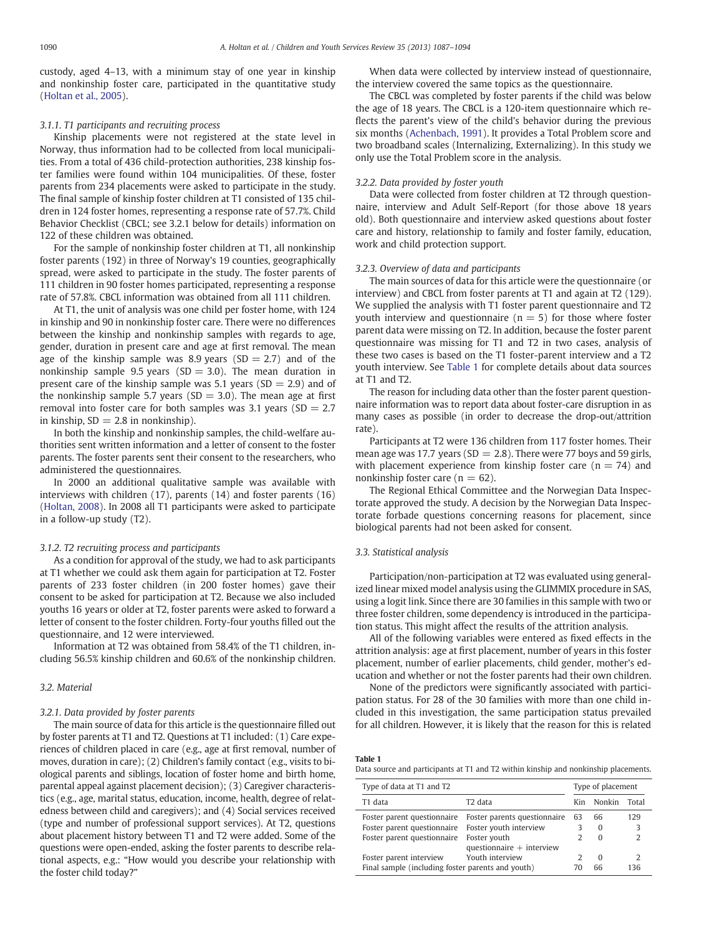custody, aged 4–13, with a minimum stay of one year in kinship and nonkinship foster care, participated in the quantitative study [\(Holtan et al., 2005](#page-6-0)).

#### 3.1.1. T1 participants and recruiting process

Kinship placements were not registered at the state level in Norway, thus information had to be collected from local municipalities. From a total of 436 child-protection authorities, 238 kinship foster families were found within 104 municipalities. Of these, foster parents from 234 placements were asked to participate in the study. The final sample of kinship foster children at T1 consisted of 135 children in 124 foster homes, representing a response rate of 57.7%. Child Behavior Checklist (CBCL; see 3.2.1 below for details) information on 122 of these children was obtained.

For the sample of nonkinship foster children at T1, all nonkinship foster parents (192) in three of Norway's 19 counties, geographically spread, were asked to participate in the study. The foster parents of 111 children in 90 foster homes participated, representing a response rate of 57.8%. CBCL information was obtained from all 111 children.

At T1, the unit of analysis was one child per foster home, with 124 in kinship and 90 in nonkinship foster care. There were no differences between the kinship and nonkinship samples with regards to age, gender, duration in present care and age at first removal. The mean age of the kinship sample was 8.9 years  $(SD = 2.7)$  and of the nonkinship sample 9.5 years (SD = 3.0). The mean duration in present care of the kinship sample was 5.1 years ( $SD = 2.9$ ) and of the nonkinship sample 5.7 years  $(SD = 3.0)$ . The mean age at first removal into foster care for both samples was 3.1 years ( $SD = 2.7$ ) in kinship,  $SD = 2.8$  in nonkinship).

In both the kinship and nonkinship samples, the child-welfare authorities sent written information and a letter of consent to the foster parents. The foster parents sent their consent to the researchers, who administered the questionnaires.

In 2000 an additional qualitative sample was available with interviews with children (17), parents (14) and foster parents (16) [\(Holtan, 2008](#page-6-0)). In 2008 all T1 participants were asked to participate in a follow-up study (T2).

#### 3.1.2. T2 recruiting process and participants

As a condition for approval of the study, we had to ask participants at T1 whether we could ask them again for participation at T2. Foster parents of 233 foster children (in 200 foster homes) gave their consent to be asked for participation at T2. Because we also included youths 16 years or older at T2, foster parents were asked to forward a letter of consent to the foster children. Forty-four youths filled out the questionnaire, and 12 were interviewed.

Information at T2 was obtained from 58.4% of the T1 children, including 56.5% kinship children and 60.6% of the nonkinship children.

#### 3.2. Material

#### 3.2.1. Data provided by foster parents

The main source of data for this article is the questionnaire filled out by foster parents at T1 and T2. Questions at T1 included: (1) Care experiences of children placed in care (e.g., age at first removal, number of moves, duration in care); (2) Children's family contact (e.g., visits to biological parents and siblings, location of foster home and birth home, parental appeal against placement decision); (3) Caregiver characteristics (e.g., age, marital status, education, income, health, degree of relatedness between child and caregivers); and (4) Social services received (type and number of professional support services). At T2, questions about placement history between T1 and T2 were added. Some of the questions were open-ended, asking the foster parents to describe relational aspects, e.g.: "How would you describe your relationship with the foster child today?"

When data were collected by interview instead of questionnaire, the interview covered the same topics as the questionnaire.

The CBCL was completed by foster parents if the child was below the age of 18 years. The CBCL is a 120-item questionnaire which reflects the parent's view of the child's behavior during the previous six months ([Achenbach, 1991\)](#page-6-0). It provides a Total Problem score and two broadband scales (Internalizing, Externalizing). In this study we only use the Total Problem score in the analysis.

#### 3.2.2. Data provided by foster youth

Data were collected from foster children at T2 through questionnaire, interview and Adult Self-Report (for those above 18 years old). Both questionnaire and interview asked questions about foster care and history, relationship to family and foster family, education, work and child protection support.

#### 3.2.3. Overview of data and participants

The main sources of data for this article were the questionnaire (or interview) and CBCL from foster parents at T1 and again at T2 (129). We supplied the analysis with T1 foster parent questionnaire and T2 youth interview and questionnaire ( $n = 5$ ) for those where foster parent data were missing on T2. In addition, because the foster parent questionnaire was missing for T1 and T2 in two cases, analysis of these two cases is based on the T1 foster-parent interview and a T2 youth interview. See Table 1 for complete details about data sources at T1 and T2.

The reason for including data other than the foster parent questionnaire information was to report data about foster-care disruption in as many cases as possible (in order to decrease the drop-out/attrition rate).

Participants at T2 were 136 children from 117 foster homes. Their mean age was 17.7 years (SD  $= 2.8$ ). There were 77 boys and 59 girls, with placement experience from kinship foster care ( $n = 74$ ) and nonkinship foster care ( $n = 62$ ).

The Regional Ethical Committee and the Norwegian Data Inspectorate approved the study. A decision by the Norwegian Data Inspectorate forbade questions concerning reasons for placement, since biological parents had not been asked for consent.

#### 3.3. Statistical analysis

Participation/non-participation at T2 was evaluated using generalized linear mixed model analysis using the GLIMMIX procedure in SAS, using a logit link. Since there are 30 families in this sample with two or three foster children, some dependency is introduced in the participation status. This might affect the results of the attrition analysis.

All of the following variables were entered as fixed effects in the attrition analysis: age at first placement, number of years in this foster placement, number of earlier placements, child gender, mother's education and whether or not the foster parents had their own children.

None of the predictors were significantly associated with participation status. For 28 of the 30 families with more than one child included in this investigation, the same participation status prevailed for all children. However, it is likely that the reason for this is related

#### Table 1

Data source and participants at T1 and T2 within kinship and nonkinship placements.

| Type of data at T1 and T2                          |                                                          |      | Type of placement |               |  |  |
|----------------------------------------------------|----------------------------------------------------------|------|-------------------|---------------|--|--|
| T1 data                                            | T2 data                                                  | Kin. | <b>Nonkin</b>     | Total         |  |  |
|                                                    | Foster parent questionnaire Foster parents questionnaire | 63   | 66                | 129           |  |  |
| Foster parent questionnaire Foster youth interview |                                                          |      | $\Omega$          | 3             |  |  |
| Foster parent questionnaire                        | Foster vouth                                             |      | $\Omega$          | 2             |  |  |
|                                                    | questionnaire $+$ interview                              |      |                   |               |  |  |
| Foster parent interview                            | Youth interview                                          |      | $\Omega$          | $\mathcal{L}$ |  |  |
| Final sample (including foster parents and youth)  |                                                          | 70   | 66                | 136           |  |  |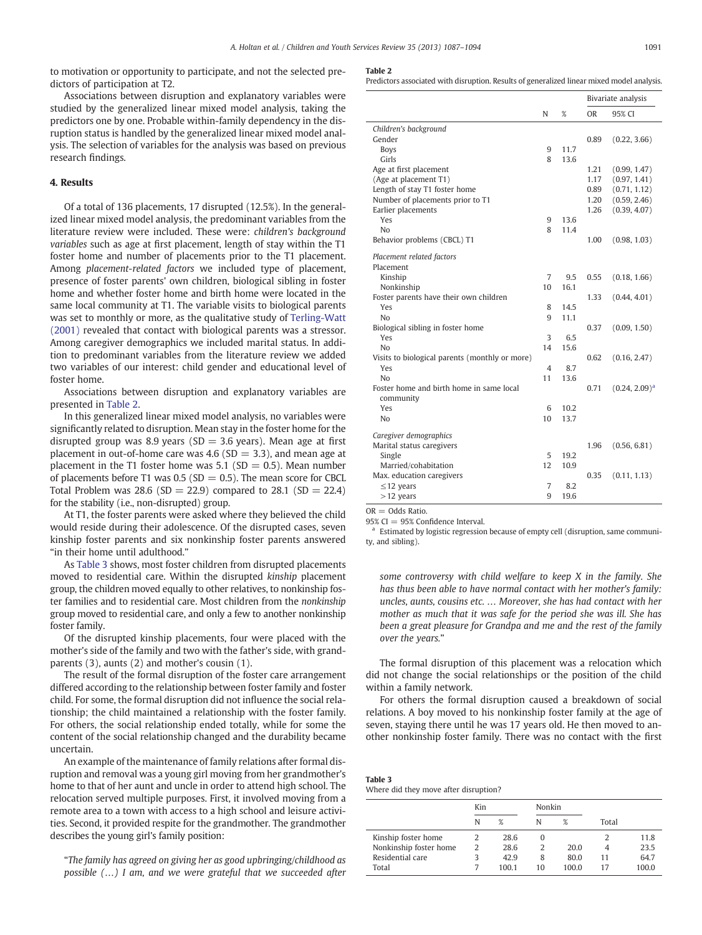to motivation or opportunity to participate, and not the selected predictors of participation at T2.

Associations between disruption and explanatory variables were studied by the generalized linear mixed model analysis, taking the predictors one by one. Probable within-family dependency in the disruption status is handled by the generalized linear mixed model analysis. The selection of variables for the analysis was based on previous research findings.

#### 4. Results

Of a total of 136 placements, 17 disrupted (12.5%). In the generalized linear mixed model analysis, the predominant variables from the literature review were included. These were: children's background variables such as age at first placement, length of stay within the T1 foster home and number of placements prior to the T1 placement. Among placement-related factors we included type of placement, presence of foster parents' own children, biological sibling in foster home and whether foster home and birth home were located in the same local community at T1. The variable visits to biological parents was set to monthly or more, as the qualitative study of [Terling-Watt](#page-7-0) [\(2001\)](#page-7-0) revealed that contact with biological parents was a stressor. Among caregiver demographics we included marital status. In addition to predominant variables from the literature review we added two variables of our interest: child gender and educational level of foster home.

Associations between disruption and explanatory variables are presented in Table 2.

In this generalized linear mixed model analysis, no variables were significantly related to disruption. Mean stay in the foster home for the disrupted group was 8.9 years ( $SD = 3.6$  years). Mean age at first placement in out-of-home care was 4.6 ( $SD = 3.3$ ), and mean age at placement in the T1 foster home was  $5.1$  (SD = 0.5). Mean number of placements before T1 was 0.5 ( $SD = 0.5$ ). The mean score for CBCL Total Problem was 28.6 (SD = 22.9) compared to 28.1 (SD = 22.4) for the stability (i.e., non-disrupted) group.

At T1, the foster parents were asked where they believed the child would reside during their adolescence. Of the disrupted cases, seven kinship foster parents and six nonkinship foster parents answered "in their home until adulthood."

As Table 3 shows, most foster children from disrupted placements moved to residential care. Within the disrupted kinship placement group, the children moved equally to other relatives, to nonkinship foster families and to residential care. Most children from the nonkinship group moved to residential care, and only a few to another nonkinship foster family.

Of the disrupted kinship placements, four were placed with the mother's side of the family and two with the father's side, with grandparents (3), aunts (2) and mother's cousin (1).

The result of the formal disruption of the foster care arrangement differed according to the relationship between foster family and foster child. For some, the formal disruption did not influence the social relationship; the child maintained a relationship with the foster family. For others, the social relationship ended totally, while for some the content of the social relationship changed and the durability became uncertain.

An example of the maintenance of family relations after formal disruption and removal was a young girl moving from her grandmother's home to that of her aunt and uncle in order to attend high school. The relocation served multiple purposes. First, it involved moving from a remote area to a town with access to a high school and leisure activities. Second, it provided respite for the grandmother. The grandmother describes the young girl's family position:

"The family has agreed on giving her as good upbringing/childhood as possible (…) I am, and we were grateful that we succeeded after

#### Table 2

Predictors associated with disruption. Results of generalized linear mixed model analysis.

|                                                |    |      | Bivariate analysis |                    |  |
|------------------------------------------------|----|------|--------------------|--------------------|--|
|                                                | N  | %    | 0 <sub>R</sub>     | 95% CI             |  |
| Children's background                          |    |      |                    |                    |  |
| Gender                                         |    |      | 0.89               | (0.22, 3.66)       |  |
| <b>Boys</b>                                    | 9  | 11.7 |                    |                    |  |
| Girls                                          | 8  | 13.6 |                    |                    |  |
| Age at first placement                         |    |      | 1.21               | (0.99, 1.47)       |  |
| (Age at placement T1)                          |    |      | 1.17               | (0.97, 1.41)       |  |
| Length of stay T1 foster home                  |    |      | 0.89               | (0.71, 1.12)       |  |
| Number of placements prior to T1               |    |      | 1.20               | (0.59, 2.46)       |  |
| Earlier placements                             |    |      | 1.26               | (0.39, 4.07)       |  |
| Yes                                            | 9  | 13.6 |                    |                    |  |
| No                                             | 8  | 11.4 |                    |                    |  |
| Behavior problems (CBCL) T1                    |    |      | 1.00               | (0.98, 1.03)       |  |
| Placement related factors                      |    |      |                    |                    |  |
| Placement                                      |    |      |                    |                    |  |
| Kinship                                        | 7  | 9.5  | 0.55               | (0.18, 1.66)       |  |
| Nonkinship                                     | 10 | 16.1 |                    |                    |  |
| Foster parents have their own children         |    |      | 1.33               | (0.44, 4.01)       |  |
| Yes                                            | 8  | 14.5 |                    |                    |  |
| N <sub>0</sub>                                 | 9  | 11.1 |                    |                    |  |
| Biological sibling in foster home              |    |      | 0.37               | (0.09, 1.50)       |  |
| Yes                                            | 3  | 6.5  |                    |                    |  |
| N <sub>0</sub>                                 | 14 | 15.6 |                    |                    |  |
| Visits to biological parents (monthly or more) |    |      | 0.62               | (0.16, 2.47)       |  |
| Yes                                            | 4  | 8.7  |                    |                    |  |
| N <sub>0</sub>                                 | 11 | 13.6 |                    |                    |  |
| Foster home and birth home in same local       |    |      | 0.71               | $(0.24, 2.09)^{a}$ |  |
| community                                      |    |      |                    |                    |  |
| Yes                                            | 6  | 10.2 |                    |                    |  |
| N <sub>o</sub>                                 | 10 | 13.7 |                    |                    |  |
| Caregiver demographics                         |    |      |                    |                    |  |
| Marital status caregivers                      |    |      | 1.96               | (0.56, 6.81)       |  |
| Single                                         | 5  | 19.2 |                    |                    |  |
| Married/cohabitation                           | 12 | 10.9 |                    |                    |  |
| Max. education caregivers                      |    |      | 0.35               | (0.11, 1.13)       |  |
| $\leq$ 12 years                                | 7  | 8.2  |                    |                    |  |
| $>12$ years                                    | 9  | 19.6 |                    |                    |  |

 $OR =$  Odds Ratio.

95%  $CI = 95%$  Confidence Interval.

Estimated by logistic regression because of empty cell (disruption, same community, and sibling).

some controversy with child welfare to keep X in the family. She has thus been able to have normal contact with her mother's family: uncles, aunts, cousins etc. … Moreover, she has had contact with her mother as much that it was safe for the period she was ill. She has been a great pleasure for Grandpa and me and the rest of the family over the years."

The formal disruption of this placement was a relocation which did not change the social relationships or the position of the child within a family network.

For others the formal disruption caused a breakdown of social relations. A boy moved to his nonkinship foster family at the age of seven, staying there until he was 17 years old. He then moved to another nonkinship foster family. There was no contact with the first

| Table 3                               |  |  |  |
|---------------------------------------|--|--|--|
| Where did they move after disruption? |  |  |  |

|                        | Kin |       | Nonkin |       |       |       |
|------------------------|-----|-------|--------|-------|-------|-------|
|                        | N   | %     | N      | %     | Total |       |
| Kinship foster home    |     | 28.6  | 0      |       | 2     | 11.8  |
| Nonkinship foster home | 2   | 28.6  | 2      | 20.0  | 4     | 23.5  |
| Residential care       | 3   | 42.9  | 8      | 80.0  | 11    | 64.7  |
| Total                  |     | 100.1 | 10     | 100.0 | 17    | 100.0 |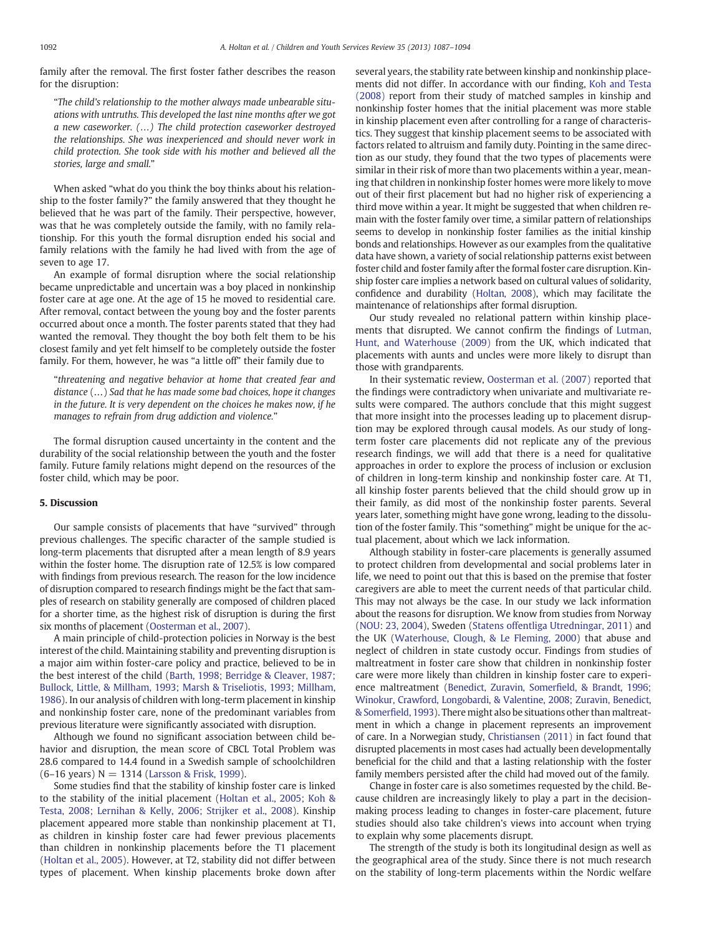family after the removal. The first foster father describes the reason for the disruption:

"The child's relationship to the mother always made unbearable situations with untruths. This developed the last nine months after we got a new caseworker. (…) The child protection caseworker destroyed the relationships. She was inexperienced and should never work in child protection. She took side with his mother and believed all the stories, large and small."

When asked "what do you think the boy thinks about his relationship to the foster family?" the family answered that they thought he believed that he was part of the family. Their perspective, however, was that he was completely outside the family, with no family relationship. For this youth the formal disruption ended his social and family relations with the family he had lived with from the age of seven to age 17.

An example of formal disruption where the social relationship became unpredictable and uncertain was a boy placed in nonkinship foster care at age one. At the age of 15 he moved to residential care. After removal, contact between the young boy and the foster parents occurred about once a month. The foster parents stated that they had wanted the removal. They thought the boy both felt them to be his closest family and yet felt himself to be completely outside the foster family. For them, however, he was "a little off" their family due to

"threatening and negative behavior at home that created fear and distance (…) Sad that he has made some bad choices, hope it changes in the future. It is very dependent on the choices he makes now, if he manages to refrain from drug addiction and violence."

The formal disruption caused uncertainty in the content and the durability of the social relationship between the youth and the foster family. Future family relations might depend on the resources of the foster child, which may be poor.

#### 5. Discussion

Our sample consists of placements that have "survived" through previous challenges. The specific character of the sample studied is long-term placements that disrupted after a mean length of 8.9 years within the foster home. The disruption rate of 12.5% is low compared with findings from previous research. The reason for the low incidence of disruption compared to research findings might be the fact that samples of research on stability generally are composed of children placed for a shorter time, as the highest risk of disruption is during the first six months of placement [\(Oosterman et al., 2007](#page-6-0)).

A main principle of child-protection policies in Norway is the best interest of the child. Maintaining stability and preventing disruption is a major aim within foster-care policy and practice, believed to be in the best interest of the child ([Barth, 1998; Berridge & Cleaver, 1987;](#page-6-0) [Bullock, Little, & Millham, 1993; Marsh & Triseliotis, 1993; Millham,](#page-6-0) [1986\)](#page-6-0). In our analysis of children with long-term placement in kinship and nonkinship foster care, none of the predominant variables from previous literature were significantly associated with disruption.

Although we found no significant association between child behavior and disruption, the mean score of CBCL Total Problem was 28.6 compared to 14.4 found in a Swedish sample of schoolchildren  $(6-16 \text{ years}) N = 1314$  [\(Larsson & Frisk, 1999\)](#page-6-0).

Some studies find that the stability of kinship foster care is linked to the stability of the initial placement [\(Holtan et al., 2005; Koh &](#page-6-0) [Testa, 2008; Lernihan & Kelly, 2006; Strijker et al., 2008](#page-6-0)). Kinship placement appeared more stable than nonkinship placement at T1, as children in kinship foster care had fewer previous placements than children in nonkinship placements before the T1 placement [\(Holtan et al., 2005](#page-6-0)). However, at T2, stability did not differ between types of placement. When kinship placements broke down after several years, the stability rate between kinship and nonkinship placements did not differ. In accordance with our finding, [Koh and Testa](#page-6-0) [\(2008\)](#page-6-0) report from their study of matched samples in kinship and nonkinship foster homes that the initial placement was more stable in kinship placement even after controlling for a range of characteristics. They suggest that kinship placement seems to be associated with factors related to altruism and family duty. Pointing in the same direction as our study, they found that the two types of placements were similar in their risk of more than two placements within a year, meaning that children in nonkinship foster homes were more likely to move out of their first placement but had no higher risk of experiencing a third move within a year. It might be suggested that when children remain with the foster family over time, a similar pattern of relationships seems to develop in nonkinship foster families as the initial kinship bonds and relationships. However as our examples from the qualitative data have shown, a variety of social relationship patterns exist between foster child and foster family after the formal foster care disruption. Kinship foster care implies a network based on cultural values of solidarity, confidence and durability [\(Holtan, 2008\)](#page-6-0), which may facilitate the maintenance of relationships after formal disruption.

Our study revealed no relational pattern within kinship placements that disrupted. We cannot confirm the findings of [Lutman,](#page-6-0) [Hunt, and Waterhouse \(2009\)](#page-6-0) from the UK, which indicated that placements with aunts and uncles were more likely to disrupt than those with grandparents.

In their systematic review, [Oosterman et al. \(2007\)](#page-6-0) reported that the findings were contradictory when univariate and multivariate results were compared. The authors conclude that this might suggest that more insight into the processes leading up to placement disruption may be explored through causal models. As our study of longterm foster care placements did not replicate any of the previous research findings, we will add that there is a need for qualitative approaches in order to explore the process of inclusion or exclusion of children in long-term kinship and nonkinship foster care. At T1, all kinship foster parents believed that the child should grow up in their family, as did most of the nonkinship foster parents. Several years later, something might have gone wrong, leading to the dissolution of the foster family. This "something" might be unique for the actual placement, about which we lack information.

Although stability in foster-care placements is generally assumed to protect children from developmental and social problems later in life, we need to point out that this is based on the premise that foster caregivers are able to meet the current needs of that particular child. This may not always be the case. In our study we lack information about the reasons for disruption. We know from studies from Norway [\(NOU: 23, 2004\)](#page-6-0), Sweden [\(Statens offentliga Utredningar, 2011](#page-7-0)) and the UK [\(Waterhouse, Clough, & Le Fleming, 2000](#page-7-0)) that abuse and neglect of children in state custody occur. Findings from studies of maltreatment in foster care show that children in nonkinship foster care were more likely than children in kinship foster care to experience maltreatment [\(Benedict, Zuravin, Somer](#page-6-0)field, & Brandt, 1996; [Winokur, Crawford, Longobardi, & Valentine, 2008; Zuravin, Benedict,](#page-6-0) & Somerfi[eld, 1993](#page-6-0)). There might also be situations other than maltreatment in which a change in placement represents an improvement of care. In a Norwegian study, [Christiansen \(2011\)](#page-6-0) in fact found that disrupted placements in most cases had actually been developmentally beneficial for the child and that a lasting relationship with the foster family members persisted after the child had moved out of the family.

Change in foster care is also sometimes requested by the child. Because children are increasingly likely to play a part in the decisionmaking process leading to changes in foster-care placement, future studies should also take children's views into account when trying to explain why some placements disrupt.

The strength of the study is both its longitudinal design as well as the geographical area of the study. Since there is not much research on the stability of long-term placements within the Nordic welfare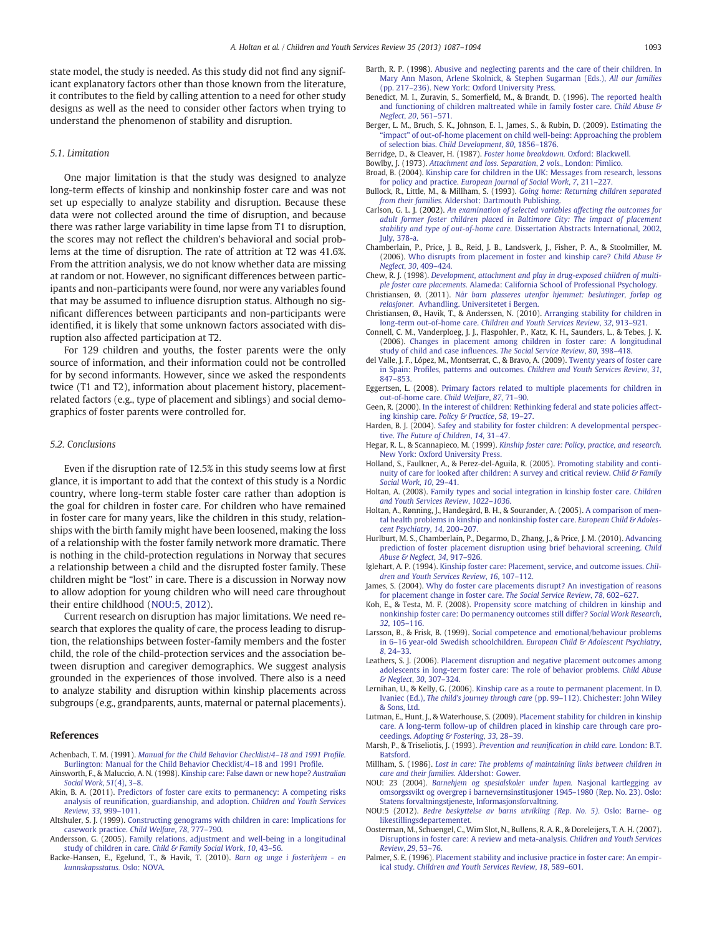<span id="page-6-0"></span>state model, the study is needed. As this study did not find any significant explanatory factors other than those known from the literature, it contributes to the field by calling attention to a need for other study designs as well as the need to consider other factors when trying to understand the phenomenon of stability and disruption.

#### 5.1. Limitation

One major limitation is that the study was designed to analyze long-term effects of kinship and nonkinship foster care and was not set up especially to analyze stability and disruption. Because these data were not collected around the time of disruption, and because there was rather large variability in time lapse from T1 to disruption, the scores may not reflect the children's behavioral and social problems at the time of disruption. The rate of attrition at T2 was 41.6%. From the attrition analysis, we do not know whether data are missing at random or not. However, no significant differences between participants and non-participants were found, nor were any variables found that may be assumed to influence disruption status. Although no significant differences between participants and non-participants were identified, it is likely that some unknown factors associated with disruption also affected participation at T2.

For 129 children and youths, the foster parents were the only source of information, and their information could not be controlled for by second informants. However, since we asked the respondents twice (T1 and T2), information about placement history, placementrelated factors (e.g., type of placement and siblings) and social demographics of foster parents were controlled for.

#### 5.2. Conclusions

Even if the disruption rate of 12.5% in this study seems low at first glance, it is important to add that the context of this study is a Nordic country, where long-term stable foster care rather than adoption is the goal for children in foster care. For children who have remained in foster care for many years, like the children in this study, relationships with the birth family might have been loosened, making the loss of a relationship with the foster family network more dramatic. There is nothing in the child-protection regulations in Norway that secures a relationship between a child and the disrupted foster family. These children might be "lost" in care. There is a discussion in Norway now to allow adoption for young children who will need care throughout their entire childhood (NOU:5, 2012).

Current research on disruption has major limitations. We need research that explores the quality of care, the process leading to disruption, the relationships between foster-family members and the foster child, the role of the child-protection services and the association between disruption and caregiver demographics. We suggest analysis grounded in the experiences of those involved. There also is a need to analyze stability and disruption within kinship placements across subgroups (e.g., grandparents, aunts, maternal or paternal placements).

#### References

- Achenbach, T. M. (1991). [Manual for the Child Behavior Checklist/4](http://refhub.elsevier.com/S0190-7409(13)00145-X/rf0255)–18 and 1991 Profile. [Burlington: Manual for the Child Behavior Checklist/4](http://refhub.elsevier.com/S0190-7409(13)00145-X/rf0255)–18 and 1991 Profile.
- Ainsworth, F., & Maluccio, A. N. (1998). [Kinship care: False dawn or new hope?](http://refhub.elsevier.com/S0190-7409(13)00145-X/rf0005) Australian [Social Work](http://refhub.elsevier.com/S0190-7409(13)00145-X/rf0005), 51(4), 3–8.
- Akin, B. A. (2011). [Predictors of foster care exits to permanency: A competing risks](http://refhub.elsevier.com/S0190-7409(13)00145-X/rf0010) analysis of reunifi[cation, guardianship, and adoption.](http://refhub.elsevier.com/S0190-7409(13)00145-X/rf0010) Children and Youth Services [Review](http://refhub.elsevier.com/S0190-7409(13)00145-X/rf0010), 33, 999–1011.
- Altshuler, S. J. (1999). [Constructing genograms with children in care: Implications for](http://refhub.elsevier.com/S0190-7409(13)00145-X/rf0015) [casework practice.](http://refhub.elsevier.com/S0190-7409(13)00145-X/rf0015) Child Welfare, 78, 777–790.
- Andersson, G. (2005). [Family relations, adjustment and well-being in a longitudinal](http://refhub.elsevier.com/S0190-7409(13)00145-X/rf0020) study of children in care. [Child & Family Social Work](http://refhub.elsevier.com/S0190-7409(13)00145-X/rf0020), 10, 43-56.
- Backe-Hansen, E., Egelund, T., & Havik, T. (2010). [Barn og unge i fosterhjem en](http://refhub.elsevier.com/S0190-7409(13)00145-X/rf0025) [kunnskapsstatus.](http://refhub.elsevier.com/S0190-7409(13)00145-X/rf0025) Oslo: NOVA.
- Barth, R. P. (1998). [Abusive and neglecting parents and the care of their children. In](http://refhub.elsevier.com/S0190-7409(13)00145-X/rf0260) [Mary Ann Mason, Arlene Skolnick, & Stephen Sugarman \(Eds.\),](http://refhub.elsevier.com/S0190-7409(13)00145-X/rf0260) All our families (pp. 217–[236\). New York: Oxford University Press.](http://refhub.elsevier.com/S0190-7409(13)00145-X/rf0260)
- Benedict, M. I., Zuravin, S., Somerfield, M., & Brandt, D. (1996). [The reported health](http://refhub.elsevier.com/S0190-7409(13)00145-X/rf0035) [and functioning of children maltreated while in family foster care.](http://refhub.elsevier.com/S0190-7409(13)00145-X/rf0035) Child Abuse & [Neglect](http://refhub.elsevier.com/S0190-7409(13)00145-X/rf0035), 20, 561–571.
- Berger, L. M., Bruch, S. K., Johnson, E. L. James, S. & Rubin, D. (2009). [Estimating the](http://refhub.elsevier.com/S0190-7409(13)00145-X/rf0040) "impact" [of out-of-home placement on child well-being: Approaching the problem](http://refhub.elsevier.com/S0190-7409(13)00145-X/rf0040) of selection bias. [Child Development](http://refhub.elsevier.com/S0190-7409(13)00145-X/rf0040), 80, 1856–1876.
- Berridge, D., & Cleaver, H. (1987). [Foster home breakdown.](http://refhub.elsevier.com/S0190-7409(13)00145-X/rf0045) Oxford: Blackwell.
- Bowlby, J. (1973). [Attachment and loss. Separation](http://refhub.elsevier.com/S0190-7409(13)00145-X/rf0265), 2 vols., London: Pimlico.
- Broad, B. (2004). [Kinship care for children in the UK: Messages from research, lessons](http://refhub.elsevier.com/S0190-7409(13)00145-X/rf0050) for policy and practice. [European Journal of Social Work](http://refhub.elsevier.com/S0190-7409(13)00145-X/rf0050), 7, 211–227.
- Bullock, R., Little, M., & Millham, S. (1993). [Going home: Returning children separated](http://refhub.elsevier.com/S0190-7409(13)00145-X/rf0055) from their families. [Aldershot: Dartmouth Publishing.](http://refhub.elsevier.com/S0190-7409(13)00145-X/rf0055)
- Carlson, G. L. J. (2002). [An examination of selected variables affecting the outcomes for](http://refhub.elsevier.com/S0190-7409(13)00145-X/rf0270) [adult former foster children placed in Baltimore City: The impact of placement](http://refhub.elsevier.com/S0190-7409(13)00145-X/rf0270) stability and type of out-of-home care. [Dissertation Abstracts International, 2002,](http://refhub.elsevier.com/S0190-7409(13)00145-X/rf0270) [July, 378-a.](http://refhub.elsevier.com/S0190-7409(13)00145-X/rf0270)
- Chamberlain, P., Price, J. B., Reid, J. B., Landsverk, J., Fisher, P. A., & Stoolmiller, M. (2006). [Who disrupts from placement in foster and kinship care?](http://refhub.elsevier.com/S0190-7409(13)00145-X/rf0060) Child Abuse & [Neglect](http://refhub.elsevier.com/S0190-7409(13)00145-X/rf0060), 30, 409–424.
- Chew, R. J. (1998). [Development, attachment and play in drug-exposed children of multi](http://refhub.elsevier.com/S0190-7409(13)00145-X/rf0065)ple foster care placements. [Alameda: California School of Professional Psychology.](http://refhub.elsevier.com/S0190-7409(13)00145-X/rf0065)
- Christiansen, Ø. (2011). [Når barn plasseres utenfor hjemmet: beslutinger, forløp og](http://refhub.elsevier.com/S0190-7409(13)00145-X/rf0070) relasjoner. [Avhandling. Universitetet i Bergen.](http://refhub.elsevier.com/S0190-7409(13)00145-X/rf0070)
- Christiansen, Ø., Havik, T., & Anderssen, N. (2010). [Arranging stability for children in](http://refhub.elsevier.com/S0190-7409(13)00145-X/rf0075) long-term out-of-home care. [Children and Youth Services Review](http://refhub.elsevier.com/S0190-7409(13)00145-X/rf0075), 32, 913–921.
- Connell, C. M., Vanderploeg, J. J., Flaspohler, P., Katz, K. H., Saunders, L., & Tebes, J. K. (2006). [Changes in placement among children in foster care: A longitudinal](http://refhub.elsevier.com/S0190-7409(13)00145-X/rf0080) [study of child and case in](http://refhub.elsevier.com/S0190-7409(13)00145-X/rf0080)fluences. The Social Service Review, 80, 398–418.
- del Valle, J. F., López, M., Montserrat, C., & Bravo, A. (2009). [Twenty years of foster care](http://refhub.elsevier.com/S0190-7409(13)00145-X/rf0085) in Spain: Profiles, patterns and outcomes. [Children and Youth Services Review](http://refhub.elsevier.com/S0190-7409(13)00145-X/rf0085), 31, 847–[853.](http://refhub.elsevier.com/S0190-7409(13)00145-X/rf0085)
- Eggertsen, L. (2008). [Primary factors related to multiple placements for children in](http://refhub.elsevier.com/S0190-7409(13)00145-X/rf0090) [out-of-home care.](http://refhub.elsevier.com/S0190-7409(13)00145-X/rf0090) Child Welfare, 87, 71–90.
- Geen, R. (2000). [In the interest of children: Rethinking federal and state policies affect](http://refhub.elsevier.com/S0190-7409(13)00145-X/rf0095)[ing kinship care.](http://refhub.elsevier.com/S0190-7409(13)00145-X/rf0095) Policy & Practice, 58, 19–27.
- Harden, B. J. (2004). [Safey and stability for foster children: A developmental perspec](http://refhub.elsevier.com/S0190-7409(13)00145-X/rf0100)tive. [The Future of Children](http://refhub.elsevier.com/S0190-7409(13)00145-X/rf0100), 14, 31–47.
- Hegar, R. L., & Scannapieco, M. (1999). [Kinship foster care: Policy, practice, and research.](http://refhub.elsevier.com/S0190-7409(13)00145-X/rf0105) [New York: Oxford University Press.](http://refhub.elsevier.com/S0190-7409(13)00145-X/rf0105)
- Holland, S., Faulkner, A., & Perez-del-Aguila, R. (2005). [Promoting stability and conti](http://refhub.elsevier.com/S0190-7409(13)00145-X/rf0110)[nuity of care for looked after children: A survey and critical review.](http://refhub.elsevier.com/S0190-7409(13)00145-X/rf0110) Child & Family [Social Work](http://refhub.elsevier.com/S0190-7409(13)00145-X/rf0110), 10, 29–41.
- Holtan, A. (2008). [Family types and social integration in kinship foster care.](http://refhub.elsevier.com/S0190-7409(13)00145-X/rf9000) Children [and Youth Services Review](http://refhub.elsevier.com/S0190-7409(13)00145-X/rf9000), 1022–1036.
- Holtan, A., Rønning, J., Handegård, B. H., & Sourander, A. (2005). [A comparison of men](http://refhub.elsevier.com/S0190-7409(13)00145-X/rf9005)[tal health problems in kinship and nonkinship foster care.](http://refhub.elsevier.com/S0190-7409(13)00145-X/rf9005) European Child & Adoles[cent Psychiatry](http://refhub.elsevier.com/S0190-7409(13)00145-X/rf9005), 14, 200–207.
- Hurlburt, M. S., Chamberlain, P., Degarmo, D., Zhang, J., & Price, J. M. (2010). [Advancing](http://refhub.elsevier.com/S0190-7409(13)00145-X/rf0115) [prediction of foster placement disruption using brief behavioral screening.](http://refhub.elsevier.com/S0190-7409(13)00145-X/rf0115) Child [Abuse & Neglect](http://refhub.elsevier.com/S0190-7409(13)00145-X/rf0115), 34, 917–926.
- Iglehart, A. P. (1994). [Kinship foster care: Placement, service, and outcome issues.](http://refhub.elsevier.com/S0190-7409(13)00145-X/rf0120) Chil[dren and Youth Services Review](http://refhub.elsevier.com/S0190-7409(13)00145-X/rf0120), 16, 107–112.
- James, S. (2004). [Why do foster care placements disrupt? An investigation of reasons](http://refhub.elsevier.com/S0190-7409(13)00145-X/rf0125) [for placement change in foster care.](http://refhub.elsevier.com/S0190-7409(13)00145-X/rf0125) The Social Service Review, 78, 602–627.
- Koh, E., & Testa, M. F. (2008). [Propensity score matching of children in kinship and](http://refhub.elsevier.com/S0190-7409(13)00145-X/rf0130) [nonkinship foster care: Do permanency outcomes still differ?](http://refhub.elsevier.com/S0190-7409(13)00145-X/rf0130) Social Work Research, 32[, 105](http://refhub.elsevier.com/S0190-7409(13)00145-X/rf0130)–116.
- Larsson, B., & Frisk, B. (1999). [Social competence and emotional/behaviour problems](http://refhub.elsevier.com/S0190-7409(13)00145-X/rf0140) in 6-16 year-old Swedish schoolchildren. [European Child & Adolescent Psychiatry](http://refhub.elsevier.com/S0190-7409(13)00145-X/rf0140), 8[, 24](http://refhub.elsevier.com/S0190-7409(13)00145-X/rf0140)–33.
- Leathers, S. J. (2006). [Placement disruption and negative placement outcomes among](http://refhub.elsevier.com/S0190-7409(13)00145-X/rf0145) [adolescents in long-term foster care: The role of behavior problems.](http://refhub.elsevier.com/S0190-7409(13)00145-X/rf0145) Child Abuse [& Neglect](http://refhub.elsevier.com/S0190-7409(13)00145-X/rf0145), 30, 307–324.
- Lernihan, U., & Kelly, G. (2006). [Kinship care as a route to permanent placement. In D.](http://refhub.elsevier.com/S0190-7409(13)00145-X/rf0275) Ivaniec (Ed.), [The child's journey through care](http://refhub.elsevier.com/S0190-7409(13)00145-X/rf0275) (pp. 99–112). Chichester: John Wiley [& Sons, Ltd.](http://refhub.elsevier.com/S0190-7409(13)00145-X/rf0275)
- Lutman, E., Hunt, J., & Waterhouse, S. (2009). [Placement stability for children in kinship](http://refhub.elsevier.com/S0190-7409(13)00145-X/rf0155) [care. A long-term follow-up of children placed in kinship care through care pro](http://refhub.elsevier.com/S0190-7409(13)00145-X/rf0155)ceedings. [Adopting & Fostering](http://refhub.elsevier.com/S0190-7409(13)00145-X/rf0155), 33, 28–39.
- Marsh, P., & Triseliotis, J. (1993). [Prevention and reuni](http://refhub.elsevier.com/S0190-7409(13)00145-X/rf0160)fication in child care. London: B.T. [Batsford.](http://refhub.elsevier.com/S0190-7409(13)00145-X/rf0160)
- Millham, S. (1986). [Lost in care: The problems of maintaining links between children in](http://refhub.elsevier.com/S0190-7409(13)00145-X/rf0165) [care and their families.](http://refhub.elsevier.com/S0190-7409(13)00145-X/rf0165) Aldershot: Gower.
- NOU: 23 (2004). [Barnehjem og spesialskoler under lupen.](http://refhub.elsevier.com/S0190-7409(13)00145-X/rf0280) Nasjonal kartlegging av [omsorgssvikt og overgrep i barnevernsinstitusjoner 1945](http://refhub.elsevier.com/S0190-7409(13)00145-X/rf0280)–1980 (Rep. No. 23). Oslo: [Statens forvaltningstjeneste, Informasjonsforvaltning.](http://refhub.elsevier.com/S0190-7409(13)00145-X/rf0280)
- NOU:5 (2012). [Bedre beskyttelse av barns utvikling \(Rep. No. 5\).](http://refhub.elsevier.com/S0190-7409(13)00145-X/rf0285) Oslo: Barne- og [likestillingsdepartementet.](http://refhub.elsevier.com/S0190-7409(13)00145-X/rf0285)
- Oosterman, M., Schuengel, C., Wim Slot, N., Bullens, R. A. R., & Doreleijers, T. A. H. (2007). [Disruptions in foster care: A review and meta-analysis.](http://refhub.elsevier.com/S0190-7409(13)00145-X/rf0170) Children and Youth Services [Review](http://refhub.elsevier.com/S0190-7409(13)00145-X/rf0170), 29, 53–76.
- Palmer, S. E. (1996). [Placement stability and inclusive practice in foster care: An empir](http://refhub.elsevier.com/S0190-7409(13)00145-X/rf0175)ical study. [Children and Youth Services Review](http://refhub.elsevier.com/S0190-7409(13)00145-X/rf0175), 18, 589–601.